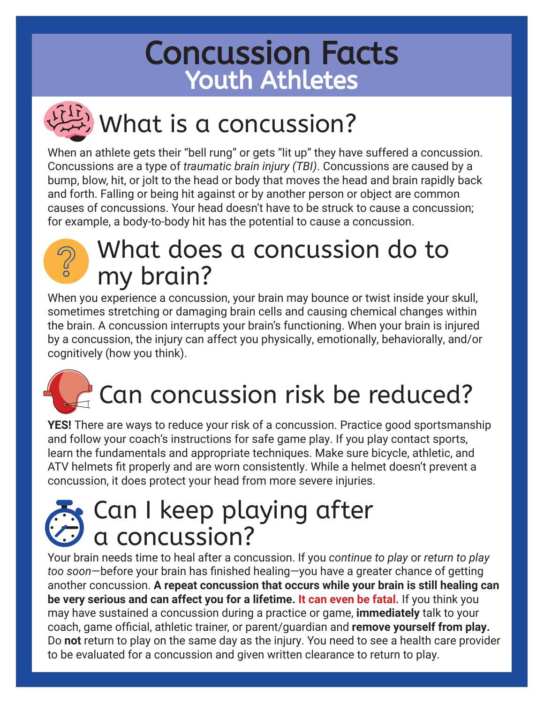## Concussion Facts Youth Athletes

## What is a concussion?

When an athlete gets their "bell rung" or gets "lit up" they have suffered a concussion. Concussions are a type of *traumatic brain injury (TBI)*. Concussions are caused by a bump, blow, hit, or jolt to the head or body that moves the head and brain rapidly back and forth. Falling or being hit against or by another person or object are common causes of concussions. Your head doesn't have to be struck to cause a concussion; for example, a body-to-body hit has the potential to cause a concussion.



### What does a concussion do to my brain?

When you experience a concussion, your brain may bounce or twist inside your skull, sometimes stretching or damaging brain cells and causing chemical changes within the brain. A concussion interrupts your brain's functioning. When your brain is injured by a concussion, the injury can affect you physically, emotionally, behaviorally, and/or cognitively (how you think).

## Can concussion risk be reduced?

**YES!** There are ways to reduce your risk of a concussion. Practice good sportsmanship and follow your coach's instructions for safe game play. If you play contact sports, learn the fundamentals and appropriate techniques. Make sure bicycle, athletic, and ATV helmets fit properly and are worn consistently. While a helmet doesn't prevent a concussion, it does protect your head from more severe injuries.

### Can I keep playing after a concussion?

Your brain needs time to heal after a concussion. If you *continue to play* or *return to play too soon*—before your brain has finished healing—you have a greater chance of getting another concussion. **A repeat concussion that occurs while your brain is still healing can be very serious and can affect you for a lifetime. It can even be fatal.** If you think you may have sustained a concussion during a practice or game, **immediately** talk to your coach, game official, athletic trainer, or parent/guardian and **remove yourself from play.**  Do **not** return to play on the same day as the injury. You need to see a health care provider to be evaluated for a concussion and given written clearance to return to play.